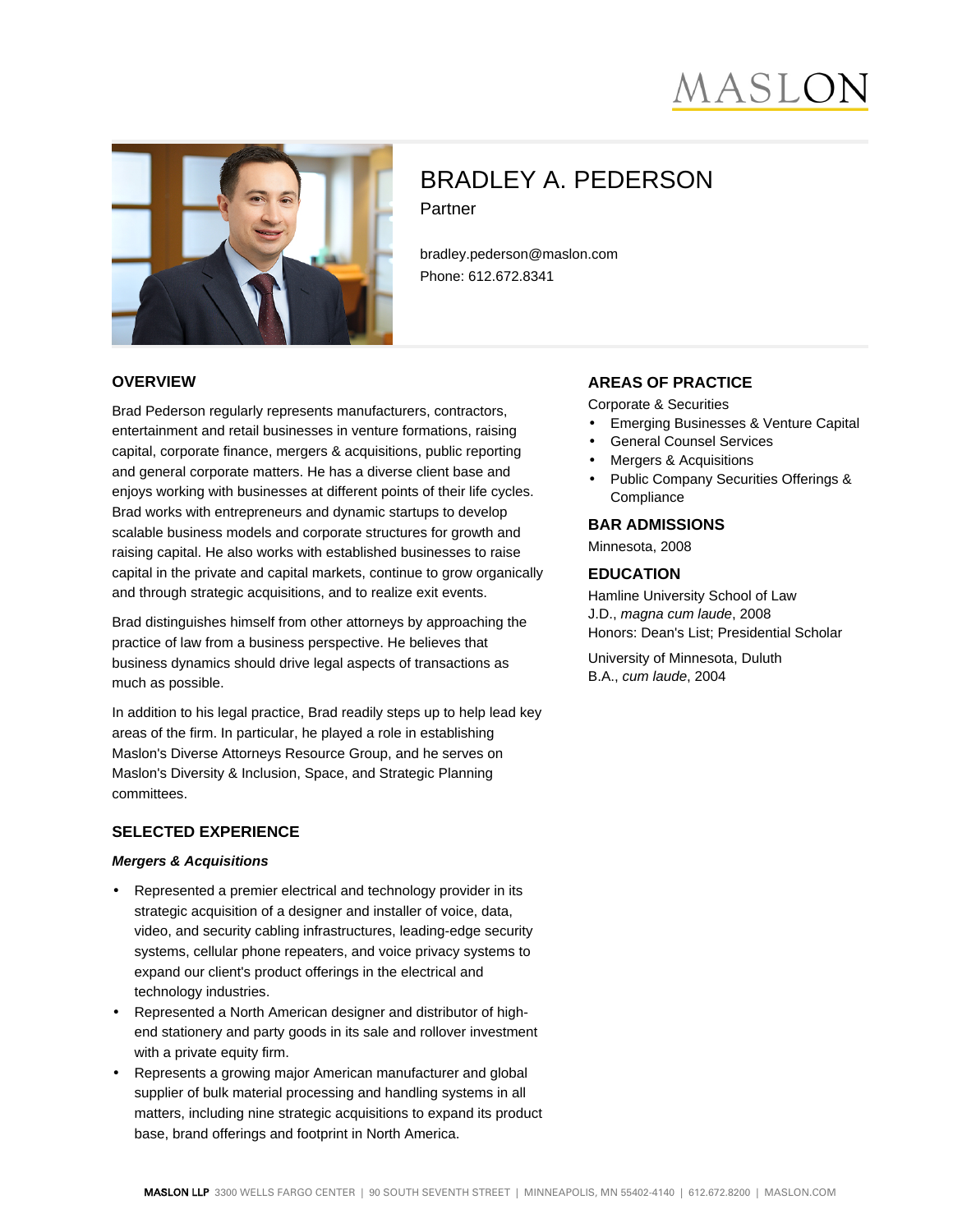



# BRADLEY A. PEDERSON Partner

bradley.pederson@maslon.com Phone: 612.672.8341

#### **OVERVIEW**

Brad Pederson regularly represents manufacturers, contractors, entertainment and retail businesses in venture formations, raising capital, corporate finance, mergers & acquisitions, public reporting and general corporate matters. He has a diverse client base and enjoys working with businesses at different points of their life cycles. Brad works with entrepreneurs and dynamic startups to develop scalable business models and corporate structures for growth and raising capital. He also works with established businesses to raise capital in the private and capital markets, continue to grow organically and through strategic acquisitions, and to realize exit events.

Brad distinguishes himself from other attorneys by approaching the practice of law from a business perspective. He believes that business dynamics should drive legal aspects of transactions as much as possible.

In addition to his legal practice, Brad readily steps up to help lead key areas of the firm. In particular, he played a role in establishing Maslon's Diverse Attorneys Resource Group, and he serves on Maslon's Diversity & Inclusion, Space, and Strategic Planning committees.

## **SELECTED EXPERIENCE**

#### **Mergers & Acquisitions**

- Represented a premier electrical and technology provider in its strategic acquisition of a designer and installer of voice, data, video, and security cabling infrastructures, leading-edge security systems, cellular phone repeaters, and voice privacy systems to expand our client's product offerings in the electrical and technology industries.
- Represented a North American designer and distributor of highend stationery and party goods in its sale and rollover investment with a private equity firm.
- Represents a growing major American manufacturer and global supplier of bulk material processing and handling systems in all matters, including nine strategic acquisitions to expand its product base, brand offerings and footprint in North America.

## **AREAS OF PRACTICE**

- Corporate & Securities
- Emerging Businesses & Venture Capital
- General Counsel Services
- Mergers & Acquisitions
- Public Company Securities Offerings & **Compliance**

### **BAR ADMISSIONS**

Minnesota, 2008

#### **EDUCATION**

Hamline University School of Law J.D., magna cum laude, 2008 Honors: Dean's List; Presidential Scholar

University of Minnesota, Duluth B.A., cum laude, 2004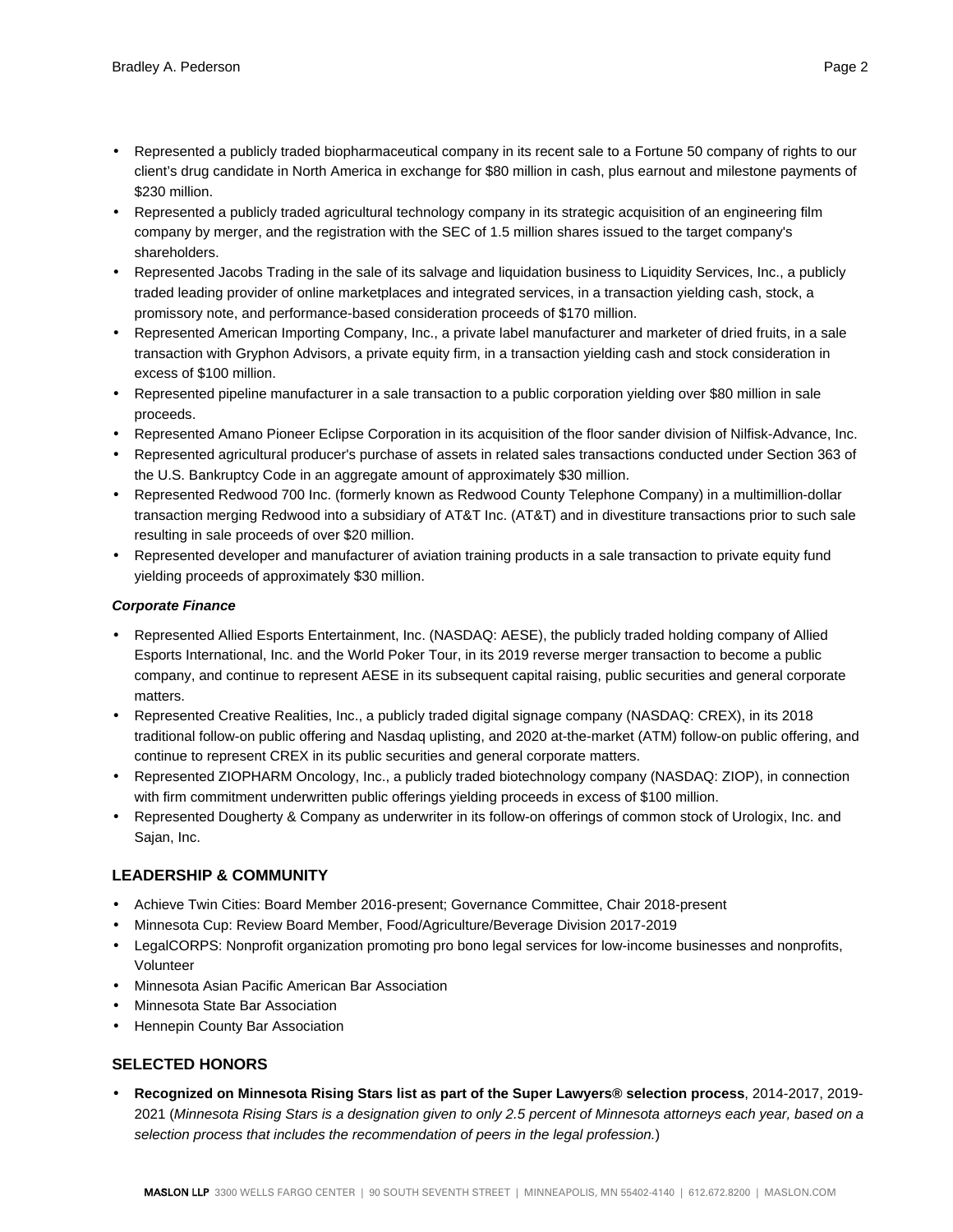- Represented a publicly traded biopharmaceutical company in its recent sale to a Fortune 50 company of rights to our client's drug candidate in North America in exchange for \$80 million in cash, plus earnout and milestone payments of \$230 million.
- Represented a publicly traded agricultural technology company in its strategic acquisition of an engineering film company by merger, and the registration with the SEC of 1.5 million shares issued to the target company's shareholders.
- Represented Jacobs Trading in the sale of its salvage and liquidation business to Liquidity Services, Inc., a publicly traded leading provider of online marketplaces and integrated services, in a transaction yielding cash, stock, a promissory note, and performance-based consideration proceeds of \$170 million.
- Represented American Importing Company, Inc., a private label manufacturer and marketer of dried fruits, in a sale transaction with Gryphon Advisors, a private equity firm, in a transaction yielding cash and stock consideration in excess of \$100 million.
- Represented pipeline manufacturer in a sale transaction to a public corporation yielding over \$80 million in sale proceeds.
- Represented Amano Pioneer Eclipse Corporation in its acquisition of the floor sander division of Nilfisk-Advance, Inc.
- Represented agricultural producer's purchase of assets in related sales transactions conducted under Section 363 of the U.S. Bankruptcy Code in an aggregate amount of approximately \$30 million.
- Represented Redwood 700 Inc. (formerly known as Redwood County Telephone Company) in a multimillion-dollar transaction merging Redwood into a subsidiary of AT&T Inc. (AT&T) and in divestiture transactions prior to such sale resulting in sale proceeds of over \$20 million.
- Represented developer and manufacturer of aviation training products in a sale transaction to private equity fund yielding proceeds of approximately \$30 million.

### **Corporate Finance**

- Represented Allied Esports Entertainment, Inc. (NASDAQ: AESE), the publicly traded holding company of Allied Esports International, Inc. and the World Poker Tour, in its 2019 reverse merger transaction to become a public company, and continue to represent AESE in its subsequent capital raising, public securities and general corporate matters.
- Represented Creative Realities, Inc., a publicly traded digital signage company (NASDAQ: CREX), in its 2018 traditional follow-on public offering and Nasdaq uplisting, and 2020 at-the-market (ATM) follow-on public offering, and continue to represent CREX in its public securities and general corporate matters.
- Represented ZIOPHARM Oncology, Inc., a publicly traded biotechnology company (NASDAQ: ZIOP), in connection with firm commitment underwritten public offerings yielding proceeds in excess of \$100 million.
- Represented Dougherty & Company as underwriter in its follow-on offerings of common stock of Urologix, Inc. and Sajan, Inc.

## **LEADERSHIP & COMMUNITY**

- Achieve Twin Cities: Board Member 2016-present; Governance Committee, Chair 2018-present
- Minnesota Cup: Review Board Member, Food/Agriculture/Beverage Division 2017-2019
- LegalCORPS: Nonprofit organization promoting pro bono legal services for low-income businesses and nonprofits, Volunteer
- Minnesota Asian Pacific American Bar Association
- Minnesota State Bar Association
- Hennepin County Bar Association

## **SELECTED HONORS**

• **Recognized on Minnesota Rising Stars list as part of the Super Lawyers® selection process**, 2014-2017, 2019- 2021 (Minnesota Rising Stars is a designation given to only 2.5 percent of Minnesota attorneys each year, based on a selection process that includes the recommendation of peers in the legal profession.)